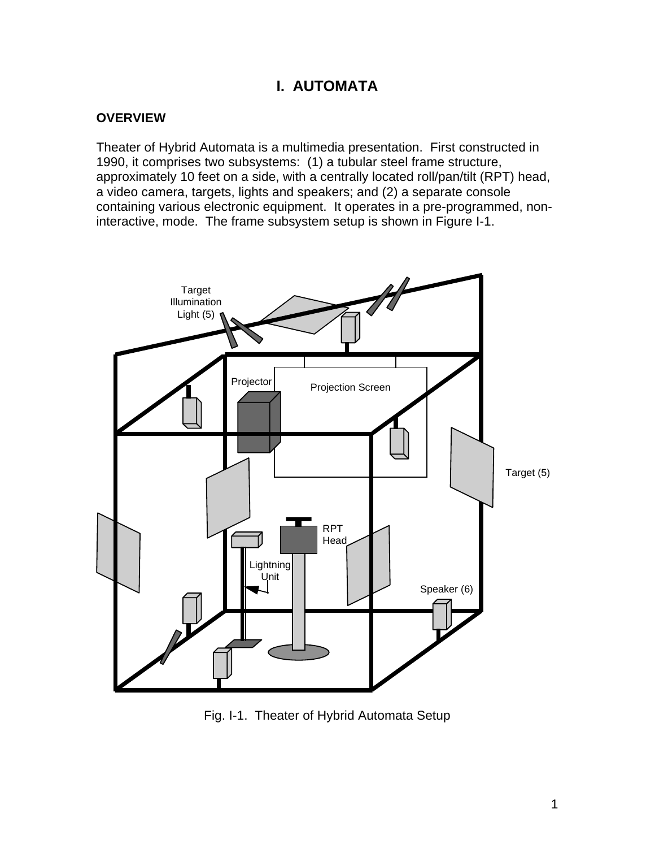# **I. AUTOMATA**

#### **OVERVIEW**

Theater of Hybrid Automata is a multimedia presentation. First constructed in 1990, it comprises two subsystems: (1) a tubular steel frame structure, approximately 10 feet on a side, with a centrally located roll/pan/tilt (RPT) head, a video camera, targets, lights and speakers; and (2) a separate console containing various electronic equipment. It operates in a pre-programmed, noninteractive, mode. The frame subsystem setup is shown in Figure I-1.



Fig. I-1. Theater of Hybrid Automata Setup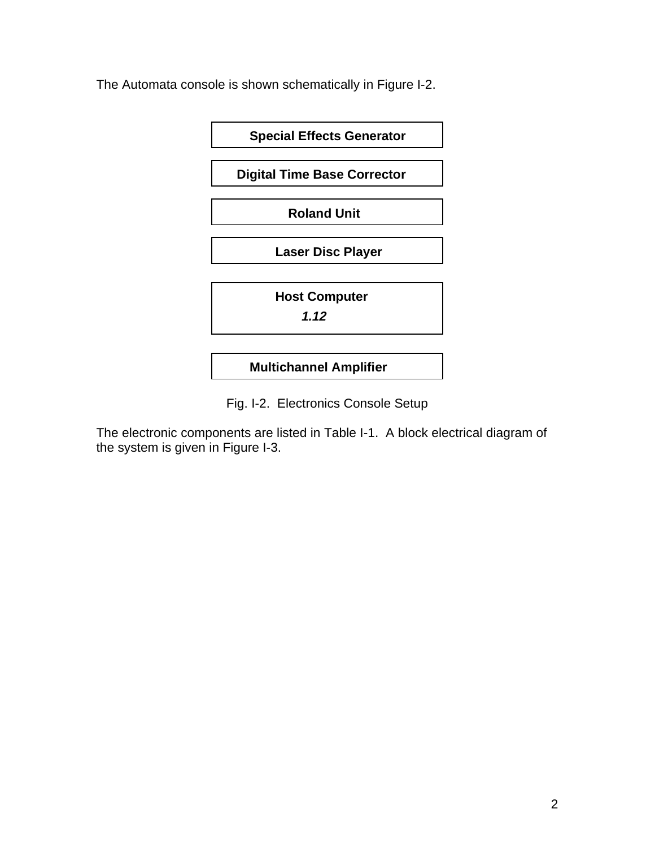The Automata console is shown schematically in Figure I-2.



Fig. I-2. Electronics Console Setup

The electronic components are listed in Table I-1. A block electrical diagram of the system is given in Figure I-3.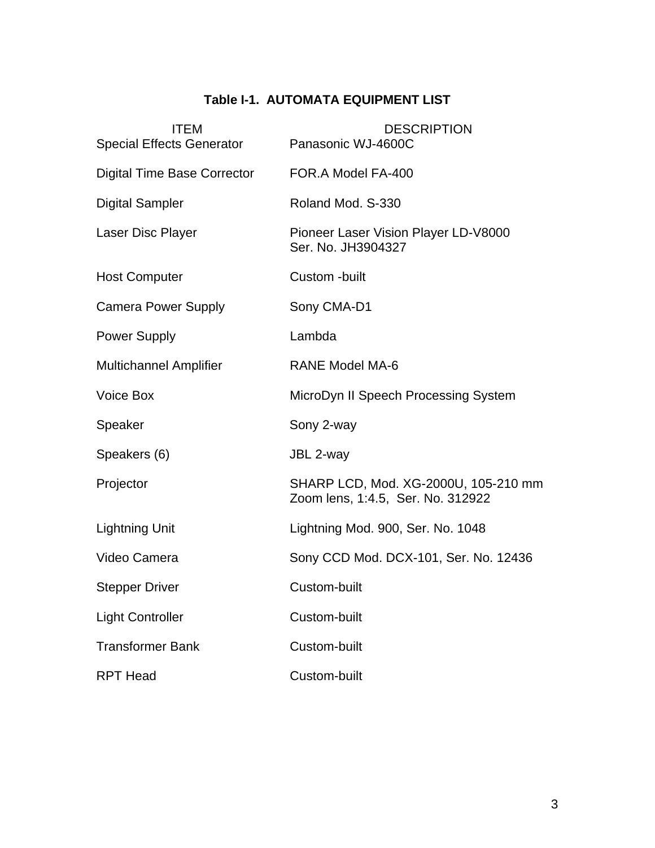## **Table I-1. AUTOMATA EQUIPMENT LIST**

| <b>ITEM</b><br><b>Special Effects Generator</b> | <b>DESCRIPTION</b><br>Panasonic WJ-4600C                                  |
|-------------------------------------------------|---------------------------------------------------------------------------|
| <b>Digital Time Base Corrector</b>              | FOR.A Model FA-400                                                        |
| <b>Digital Sampler</b>                          | Roland Mod. S-330                                                         |
| Laser Disc Player                               | Pioneer Laser Vision Player LD-V8000<br>Ser. No. JH3904327                |
| <b>Host Computer</b>                            | Custom -built                                                             |
| <b>Camera Power Supply</b>                      | Sony CMA-D1                                                               |
| <b>Power Supply</b>                             | Lambda                                                                    |
| <b>Multichannel Amplifier</b>                   | <b>RANE Model MA-6</b>                                                    |
| Voice Box                                       | MicroDyn II Speech Processing System                                      |
| Speaker                                         | Sony 2-way                                                                |
| Speakers (6)                                    | JBL 2-way                                                                 |
| Projector                                       | SHARP LCD, Mod. XG-2000U, 105-210 mm<br>Zoom lens, 1:4.5, Ser. No. 312922 |
| <b>Lightning Unit</b>                           | Lightning Mod. 900, Ser. No. 1048                                         |
| Video Camera                                    | Sony CCD Mod. DCX-101, Ser. No. 12436                                     |
| <b>Stepper Driver</b>                           | Custom-built                                                              |
| <b>Light Controller</b>                         | Custom-built                                                              |
| <b>Transformer Bank</b>                         | Custom-built                                                              |
| <b>RPT Head</b>                                 | Custom-built                                                              |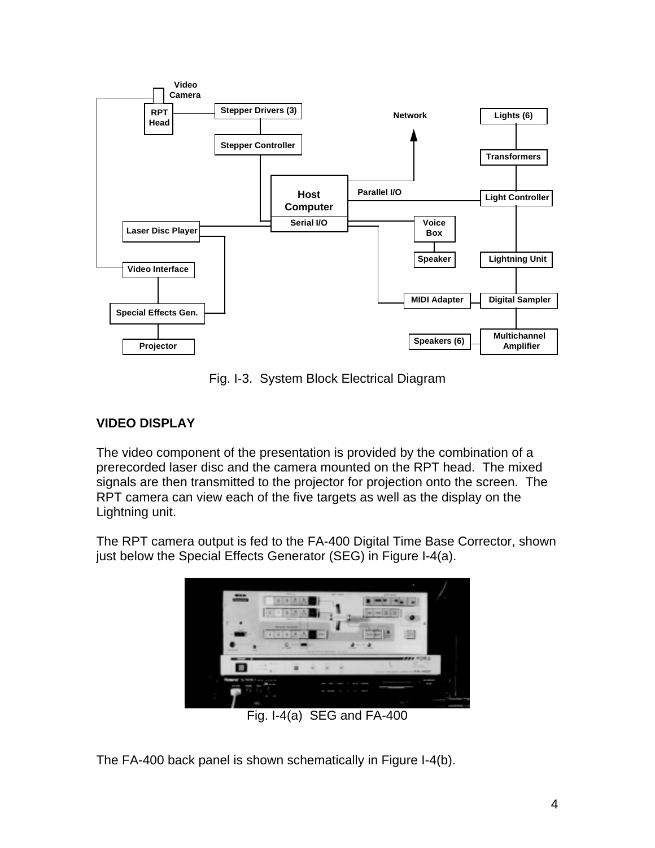

Fig. I-3. System Block Electrical Diagram

### **VIDEO DISPLAY**

The video component of the presentation is provided by the combination of a prerecorded laser disc and the camera mounted on the RPT head. The mixed signals are then transmitted to the projector for projection onto the screen. The RPT camera can view each of the five targets as well as the display on the Lightning unit.

The RPT camera output is fed to the FA-400 Digital Time Base Corrector, shown just below the Special Effects Generator (SEG) in Figure I-4(a).



The FA-400 back panel is shown schematically in Figure I-4(b).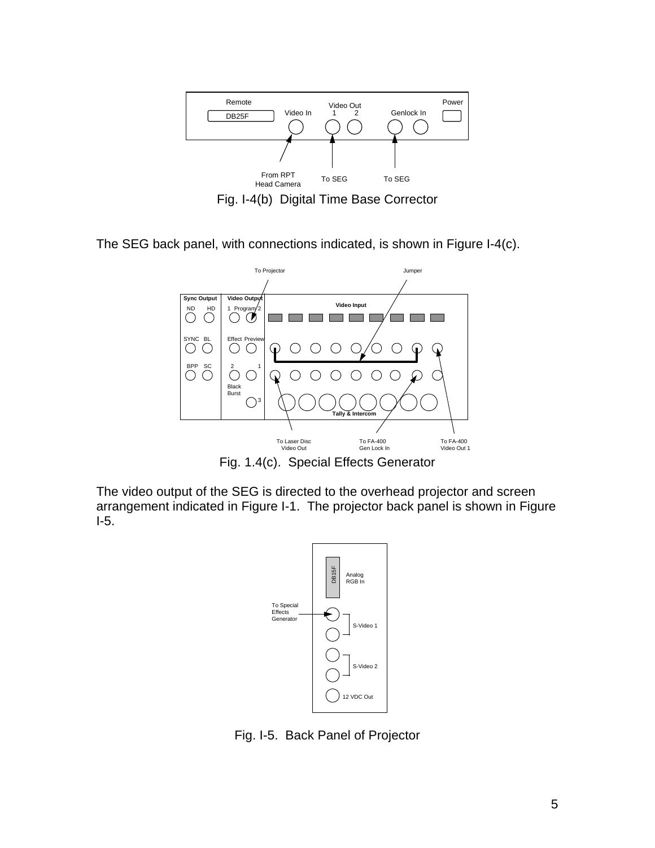

Fig. I-4(b) Digital Time Base Corrector

The SEG back panel, with connections indicated, is shown in Figure I-4(c).



Fig. 1.4(c). Special Effects Generator

The video output of the SEG is directed to the overhead projector and screen arrangement indicated in Figure I-1. The projector back panel is shown in Figure I-5.



Fig. I-5. Back Panel of Projector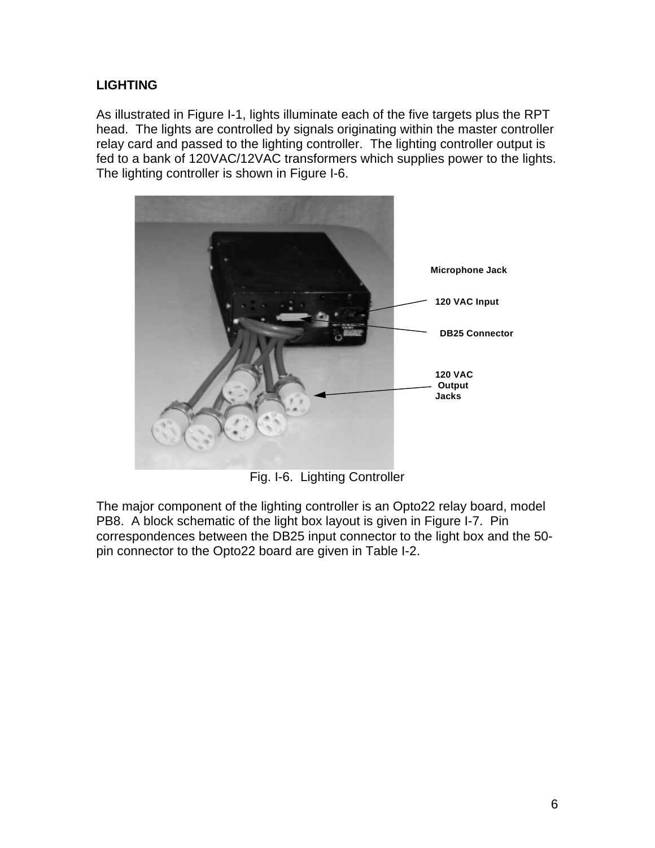### **LIGHTING**

As illustrated in Figure I-1, lights illuminate each of the five targets plus the RPT head. The lights are controlled by signals originating within the master controller relay card and passed to the lighting controller. The lighting controller output is fed to a bank of 120VAC/12VAC transformers which supplies power to the lights. The lighting controller is shown in Figure I-6.



Fig. I-6. Lighting Controller

The major component of the lighting controller is an Opto22 relay board, model PB8. A block schematic of the light box layout is given in Figure I-7. Pin correspondences between the DB25 input connector to the light box and the 50 pin connector to the Opto22 board are given in Table I-2.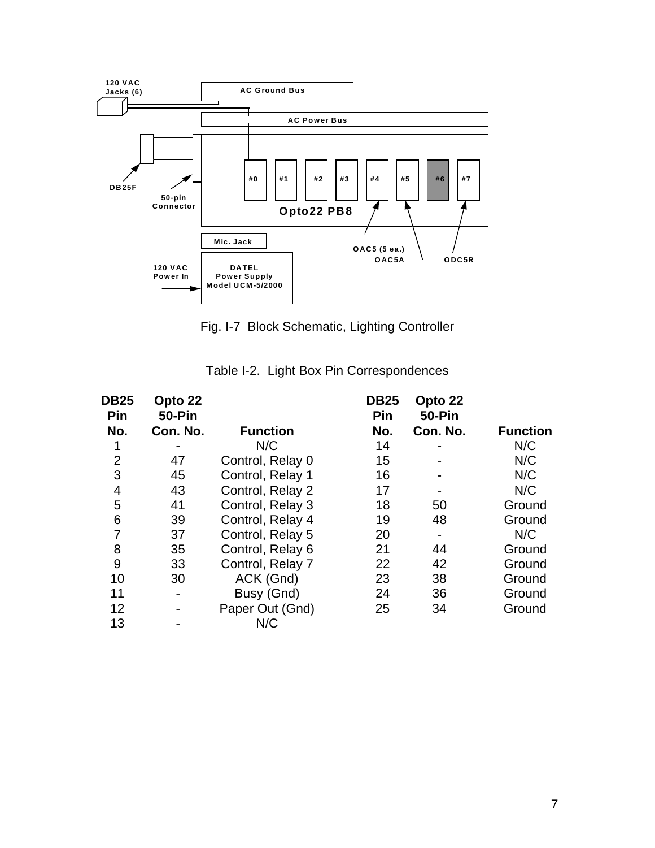

Fig. I-7 Block Schematic, Lighting Controller

| <b>DB25</b><br>Pin | Opto 22<br><b>50-Pin</b> |                  | <b>DB25</b><br>Pin | Opto 22<br>50-Pin |                 |
|--------------------|--------------------------|------------------|--------------------|-------------------|-----------------|
| No.                | Con. No.                 | <b>Function</b>  | No.                | Con. No.          | <b>Function</b> |
| 1                  |                          | N/C              | 14                 |                   | N/C             |
| $\overline{2}$     | 47                       | Control, Relay 0 | 15                 |                   | N/C             |
| 3                  | 45                       | Control, Relay 1 | 16                 |                   | N/C             |
| 4                  | 43                       | Control, Relay 2 | 17                 |                   | N/C             |
| 5                  | 41                       | Control, Relay 3 | 18                 | 50                | Ground          |
| 6                  | 39                       | Control, Relay 4 | 19                 | 48                | Ground          |
| 7                  | 37                       | Control, Relay 5 | 20                 |                   | N/C             |
| 8                  | 35                       | Control, Relay 6 | 21                 | 44                | Ground          |
| 9                  | 33                       | Control, Relay 7 | 22                 | 42                | Ground          |
| 10                 | 30                       | ACK (Gnd)        | 23                 | 38                | Ground          |
| 11                 | $\overline{\phantom{0}}$ | Busy (Gnd)       | 24                 | 36                | Ground          |
| 12                 |                          | Paper Out (Gnd)  | 25                 | 34                | Ground          |
| 13                 |                          | N/C              |                    |                   |                 |

Table I-2. Light Box Pin Correspondences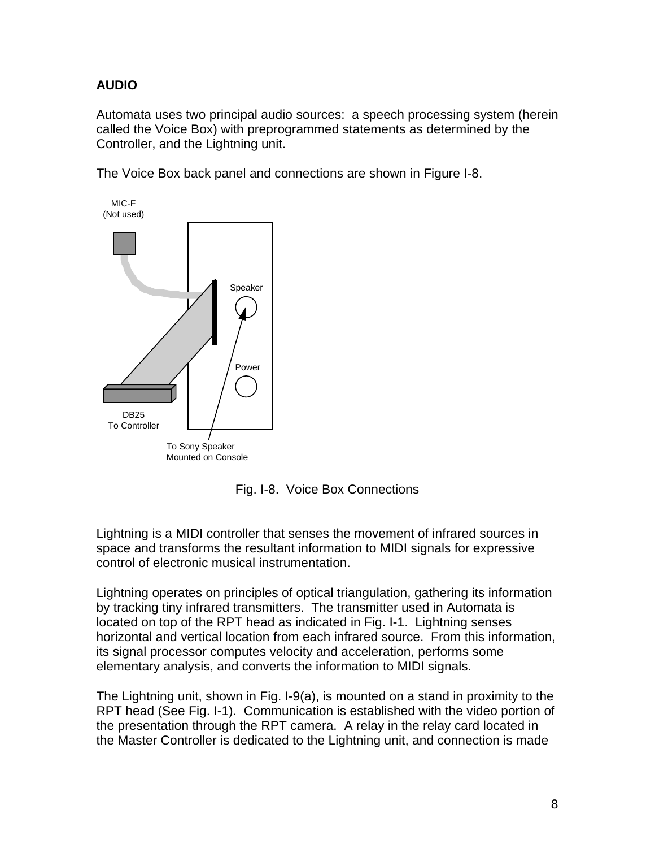## **AUDIO**

Automata uses two principal audio sources: a speech processing system (herein called the Voice Box) with preprogrammed statements as determined by the Controller, and the Lightning unit.

The Voice Box back panel and connections are shown in Figure I-8.



Fig. I-8. Voice Box Connections

Lightning is a MIDI controller that senses the movement of infrared sources in space and transforms the resultant information to MIDI signals for expressive control of electronic musical instrumentation.

Lightning operates on principles of optical triangulation, gathering its information by tracking tiny infrared transmitters. The transmitter used in Automata is located on top of the RPT head as indicated in Fig. I-1. Lightning senses horizontal and vertical location from each infrared source. From this information, its signal processor computes velocity and acceleration, performs some elementary analysis, and converts the information to MIDI signals.

The Lightning unit, shown in Fig. I-9(a), is mounted on a stand in proximity to the RPT head (See Fig. I-1). Communication is established with the video portion of the presentation through the RPT camera. A relay in the relay card located in the Master Controller is dedicated to the Lightning unit, and connection is made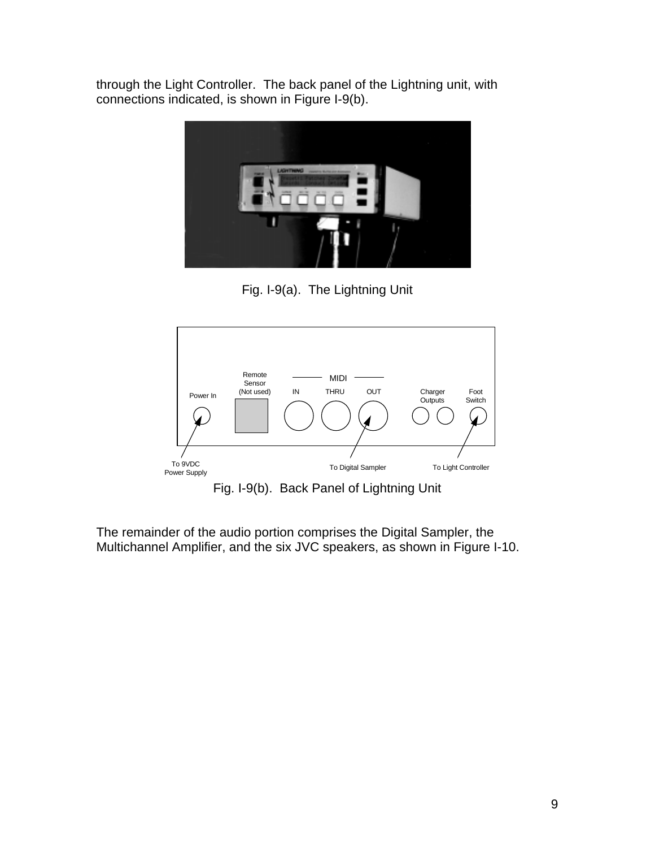through the Light Controller. The back panel of the Lightning unit, with connections indicated, is shown in Figure I-9(b).



Fig. I-9(a). The Lightning Unit



Fig. I-9(b). Back Panel of Lightning Unit

The remainder of the audio portion comprises the Digital Sampler, the Multichannel Amplifier, and the six JVC speakers, as shown in Figure I-10.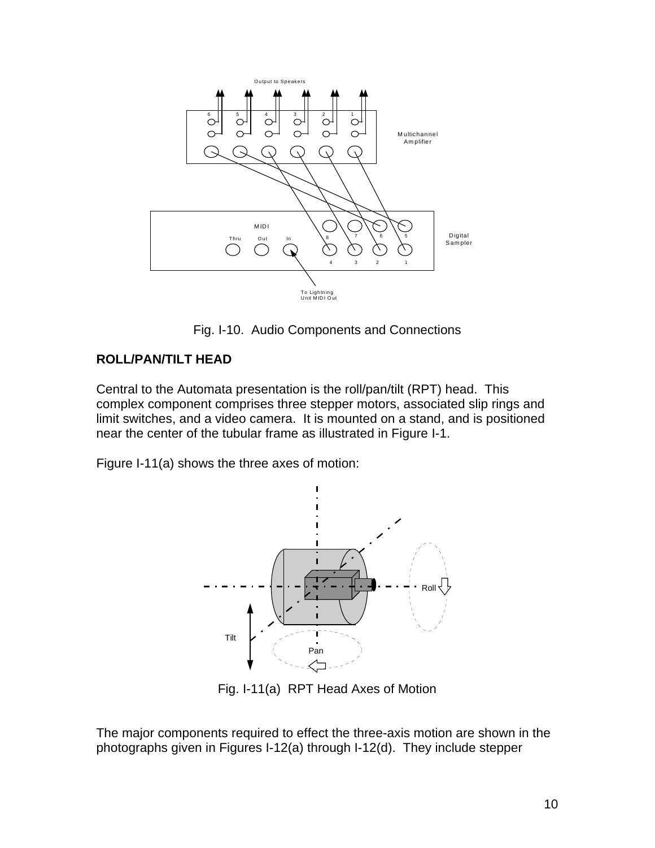

Fig. I-10. Audio Components and Connections

#### **ROLL/PAN/TILT HEAD**

Central to the Automata presentation is the roll/pan/tilt (RPT) head. This complex component comprises three stepper motors, associated slip rings and limit switches, and a video camera. It is mounted on a stand, and is positioned near the center of the tubular frame as illustrated in Figure I-1.

Figure I-11(a) shows the three axes of motion:



Fig. I-11(a) RPT Head Axes of Motion

The major components required to effect the three-axis motion are shown in the photographs given in Figures I-12(a) through I-12(d). They include stepper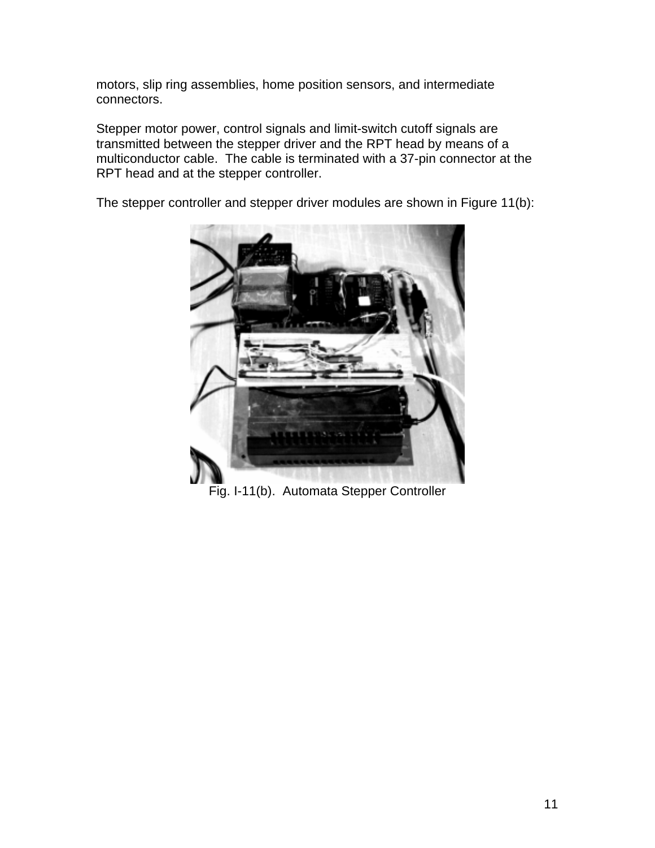motors, slip ring assemblies, home position sensors, and intermediate connectors.

Stepper motor power, control signals and limit-switch cutoff signals are transmitted between the stepper driver and the RPT head by means of a multiconductor cable. The cable is terminated with a 37-pin connector at the RPT head and at the stepper controller.

The stepper controller and stepper driver modules are shown in Figure 11(b):



Fig. I-11(b). Automata Stepper Controller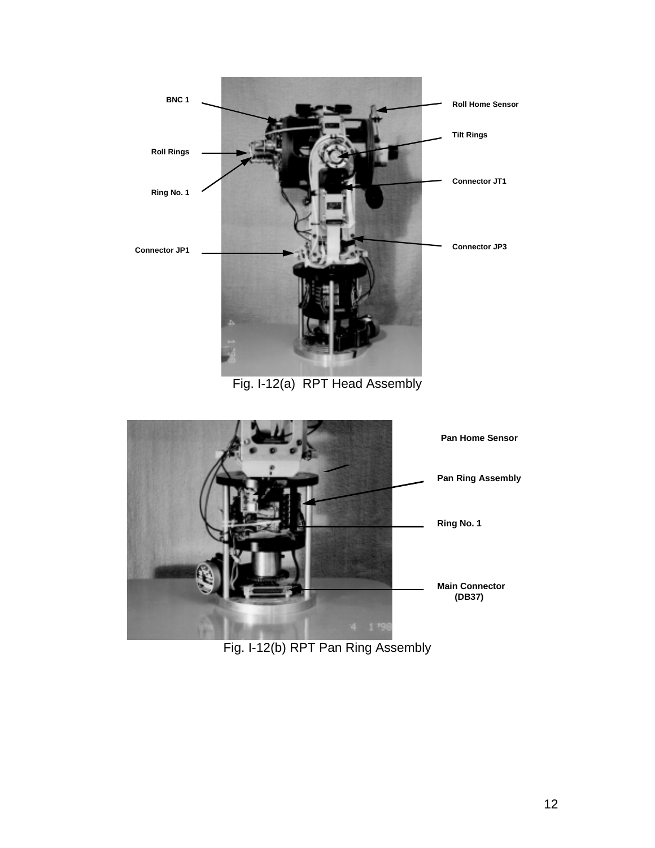

Fig. I-12(a) RPT Head Assembly



Fig. I-12(b) RPT Pan Ring Assembly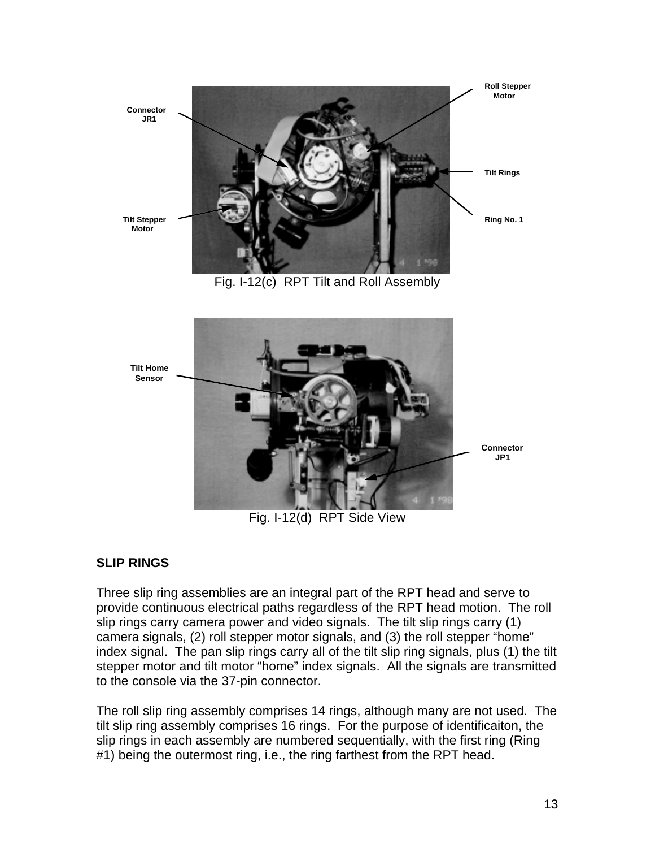

#### **SLIP RINGS**

Three slip ring assemblies are an integral part of the RPT head and serve to provide continuous electrical paths regardless of the RPT head motion. The roll slip rings carry camera power and video signals. The tilt slip rings carry (1) camera signals, (2) roll stepper motor signals, and (3) the roll stepper "home" index signal. The pan slip rings carry all of the tilt slip ring signals, plus (1) the tilt stepper motor and tilt motor "home" index signals. All the signals are transmitted to the console via the 37-pin connector.

The roll slip ring assembly comprises 14 rings, although many are not used. The tilt slip ring assembly comprises 16 rings. For the purpose of identificaiton, the slip rings in each assembly are numbered sequentially, with the first ring (Ring #1) being the outermost ring, i.e., the ring farthest from the RPT head.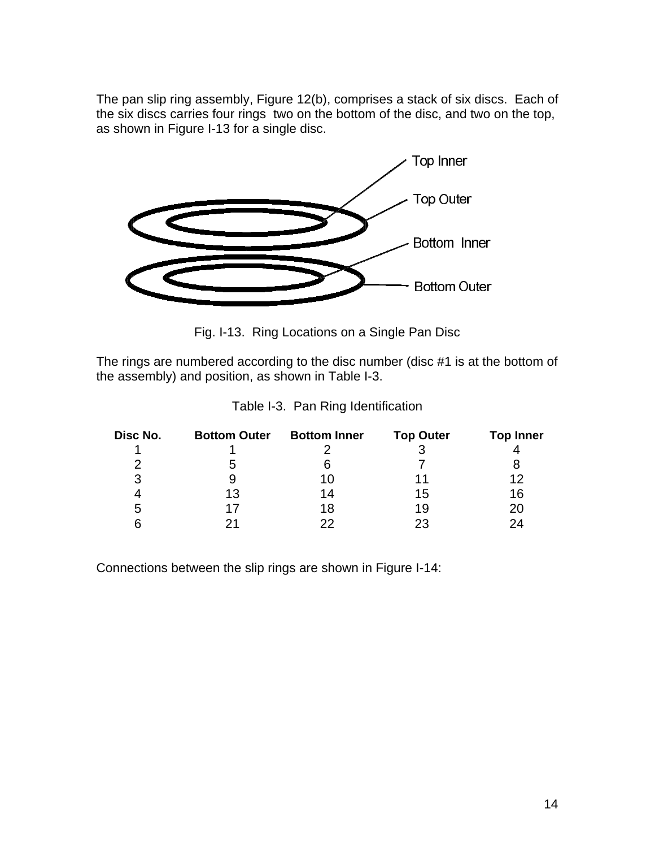The pan slip ring assembly, Figure 12(b), comprises a stack of six discs. Each of the six discs carries four rings two on the bottom of the disc, and two on the top, as shown in Figure I-13 for a single disc.



Fig. I-13. Ring Locations on a Single Pan Disc

The rings are numbered according to the disc number (disc #1 is at the bottom of the assembly) and position, as shown in Table I-3.

| Disc No. | <b>Bottom Outer</b> | <b>Bottom Inner</b> | <b>Top Outer</b> | <b>Top Inner</b> |  |
|----------|---------------------|---------------------|------------------|------------------|--|
|          |                     |                     |                  |                  |  |
| 2        | b                   | 6                   |                  |                  |  |
| 3        |                     | 10                  |                  | 12               |  |
|          | 13                  | 14                  | 15               | 16               |  |
| b        | 17                  | 18                  | 19               | 20               |  |
| հ        | 21                  | つつ                  | 23               | 24               |  |

Table I-3. Pan Ring Identification

Connections between the slip rings are shown in Figure I-14: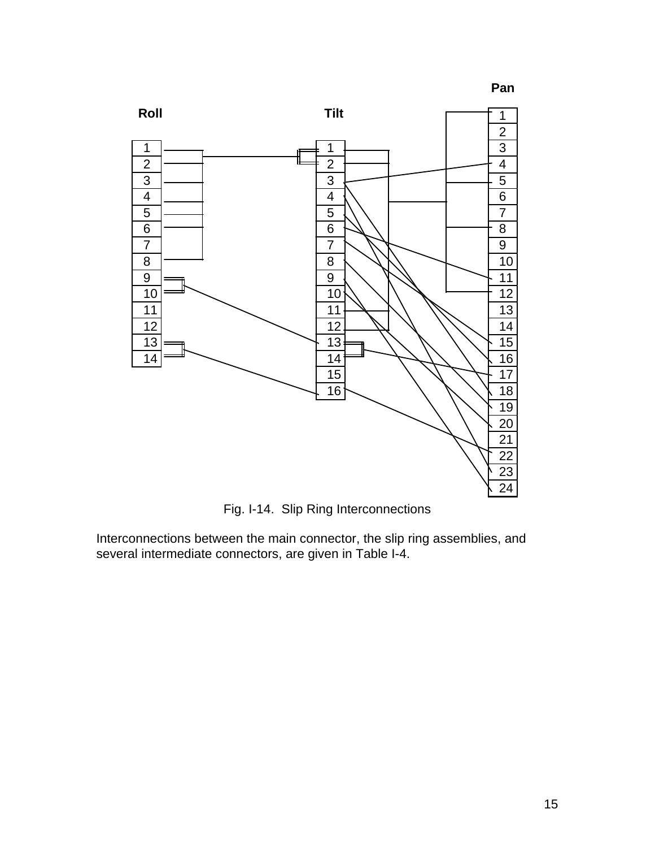

Fig. I-14. Slip Ring Interconnections

Interconnections between the main connector, the slip ring assemblies, and several intermediate connectors, are given in Table I-4.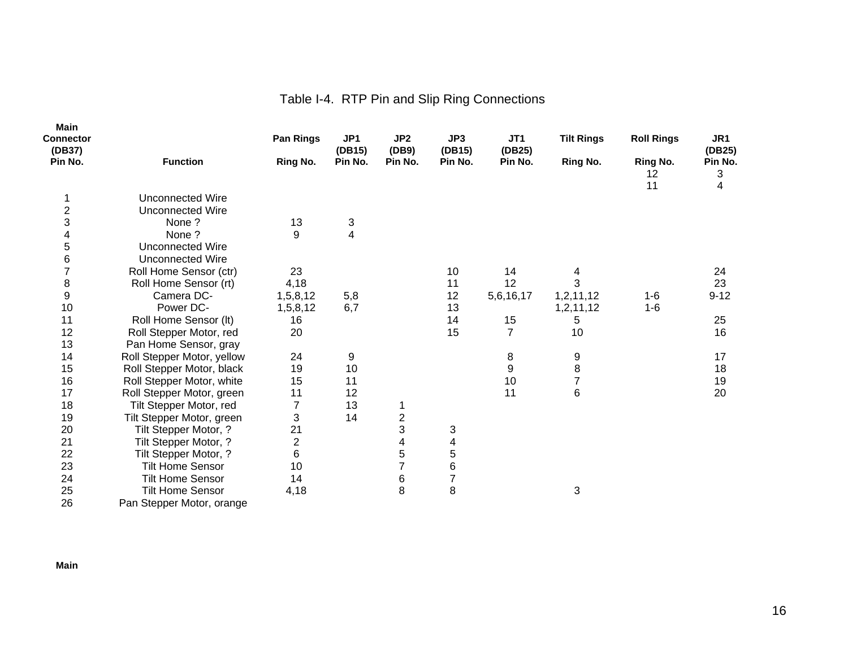# Table I-4. RTP Pin and Slip Ring Connections

| <b>Main</b><br>Connector<br>(DB37) |                            | Pan Rings      | JP1<br>(DB15) | JP2<br>(DB9)   | JP3<br>(DB15)  | JT1<br>(DB25)  | <b>Tilt Rings</b> | <b>Roll Rings</b>           | JR1<br>(DB25)     |
|------------------------------------|----------------------------|----------------|---------------|----------------|----------------|----------------|-------------------|-----------------------------|-------------------|
| Pin No.                            | <b>Function</b>            | Ring No.       | Pin No.       | Pin No.        | Pin No.        | Pin No.        | <b>Ring No.</b>   | <b>Ring No.</b><br>12<br>11 | Pin No.<br>3<br>4 |
|                                    | Unconnected Wire           |                |               |                |                |                |                   |                             |                   |
| $\overline{c}$                     | <b>Unconnected Wire</b>    |                |               |                |                |                |                   |                             |                   |
| 3                                  | None?                      | 13             | 3             |                |                |                |                   |                             |                   |
| 4                                  | None?                      | 9              | 4             |                |                |                |                   |                             |                   |
| 5                                  | <b>Unconnected Wire</b>    |                |               |                |                |                |                   |                             |                   |
| 6                                  | <b>Unconnected Wire</b>    |                |               |                |                |                |                   |                             |                   |
| $\overline{7}$                     | Roll Home Sensor (ctr)     | 23             |               |                | 10             | 14             | 4                 |                             | 24                |
| 8                                  | Roll Home Sensor (rt)      | 4,18           |               |                | 11             | 12             | 3                 |                             | 23                |
| 9                                  | Camera DC-                 | 1,5,8,12       | 5,8           |                | 12             | 5,6,16,17      | 1,2,11,12         | $1 - 6$                     | $9 - 12$          |
| 10                                 | Power DC-                  | 1,5,8,12       | 6,7           |                | 13             |                | 1,2,11,12         | $1 - 6$                     |                   |
| 11                                 | Roll Home Sensor (It)      | 16             |               |                | 14             | 15             | 5                 |                             | 25                |
| 12                                 | Roll Stepper Motor, red    | 20             |               |                | 15             | $\overline{7}$ | 10                |                             | 16                |
| 13                                 | Pan Home Sensor, gray      |                |               |                |                |                |                   |                             |                   |
| 14                                 | Roll Stepper Motor, yellow | 24             | 9             |                |                | 8              | 9                 |                             | 17                |
| 15                                 | Roll Stepper Motor, black  | 19             | 10            |                |                | $\mathsf g$    | 8                 |                             | 18                |
| 16                                 | Roll Stepper Motor, white  | 15             | 11            |                |                | 10             | 7                 |                             | 19                |
| 17                                 | Roll Stepper Motor, green  | 11             | 12            |                |                | 11             | $6\phantom{1}6$   |                             | 20                |
| 18                                 | Tilt Stepper Motor, red    | 7              | 13            | 1              |                |                |                   |                             |                   |
| 19                                 | Tilt Stepper Motor, green  | 3              | 14            |                |                |                |                   |                             |                   |
| 20                                 | Tilt Stepper Motor, ?      | 21             |               | $\frac{2}{3}$  | 3              |                |                   |                             |                   |
| 21                                 | Tilt Stepper Motor, ?      | $\overline{2}$ |               | 4              | 4              |                |                   |                             |                   |
| 22                                 | Tilt Stepper Motor, ?      | 6              |               | 5              | 5              |                |                   |                             |                   |
| 23                                 | <b>Tilt Home Sensor</b>    | 10             |               | $\overline{7}$ | 6              |                |                   |                             |                   |
| 24                                 | <b>Tilt Home Sensor</b>    | 14             |               | 6              | $\overline{7}$ |                |                   |                             |                   |
| 25                                 | <b>Tilt Home Sensor</b>    | 4,18           |               | 8              | 8              |                | 3                 |                             |                   |
| 26                                 | Pan Stepper Motor, orange  |                |               |                |                |                |                   |                             |                   |